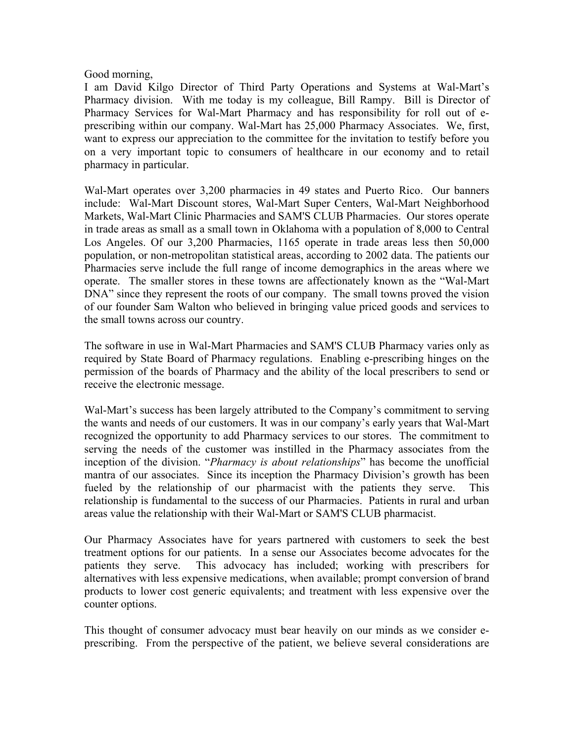## Good morning,

I am David Kilgo Director of Third Party Operations and Systems at Wal-Mart's Pharmacy division. With me today is my colleague, Bill Rampy. Bill is Director of Pharmacy Services for Wal-Mart Pharmacy and has responsibility for roll out of eprescribing within our company. Wal-Mart has 25,000 Pharmacy Associates. We, first, want to express our appreciation to the committee for the invitation to testify before you on a very important topic to consumers of healthcare in our economy and to retail pharmacy in particular.

Wal-Mart operates over 3,200 pharmacies in 49 states and Puerto Rico. Our banners include: Wal-Mart Discount stores, Wal-Mart Super Centers, Wal-Mart Neighborhood Markets, Wal-Mart Clinic Pharmacies and SAM'S CLUB Pharmacies. Our stores operate in trade areas as small as a small town in Oklahoma with a population of 8,000 to Central Los Angeles. Of our 3,200 Pharmacies, 1165 operate in trade areas less then 50,000 population, or non-metropolitan statistical areas, according to 2002 data. The patients our Pharmacies serve include the full range of income demographics in the areas where we operate. The smaller stores in these towns are affectionately known as the "Wal-Mart DNA" since they represent the roots of our company. The small towns proved the vision of our founder Sam Walton who believed in bringing value priced goods and services to the small towns across our country.

The software in use in Wal-Mart Pharmacies and SAM'S CLUB Pharmacy varies only as required by State Board of Pharmacy regulations. Enabling e-prescribing hinges on the permission of the boards of Pharmacy and the ability of the local prescribers to send or receive the electronic message.

Wal-Mart's success has been largely attributed to the Company's commitment to serving the wants and needs of our customers. It was in our company's early years that Wal-Mart recognized the opportunity to add Pharmacy services to our stores. The commitment to serving the needs of the customer was instilled in the Pharmacy associates from the inception of the division. "*Pharmacy is about relationships*" has become the unofficial mantra of our associates. Since its inception the Pharmacy Division's growth has been fueled by the relationship of our pharmacist with the patients they serve. This relationship is fundamental to the success of our Pharmacies. Patients in rural and urban areas value the relationship with their Wal-Mart or SAM'S CLUB pharmacist.

Our Pharmacy Associates have for years partnered with customers to seek the best treatment options for our patients. In a sense our Associates become advocates for the patients they serve. This advocacy has included; working with prescribers for alternatives with less expensive medications, when available; prompt conversion of brand products to lower cost generic equivalents; and treatment with less expensive over the counter options.

This thought of consumer advocacy must bear heavily on our minds as we consider eprescribing. From the perspective of the patient, we believe several considerations are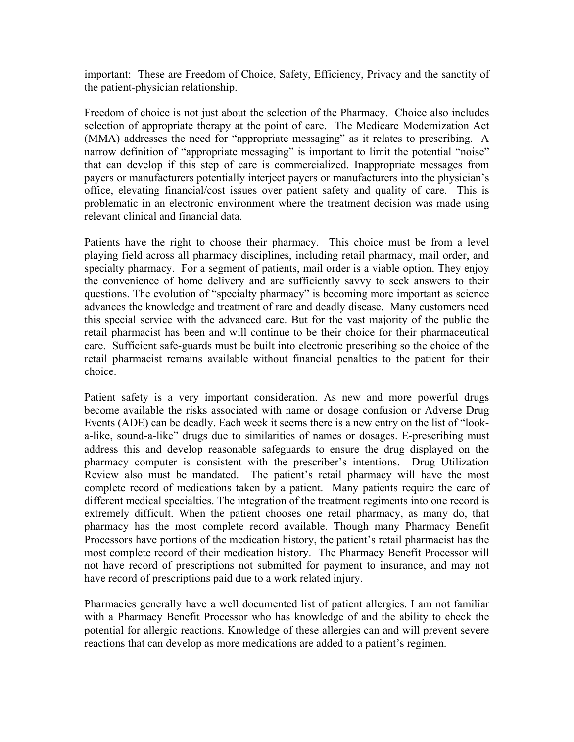important: These are Freedom of Choice, Safety, Efficiency, Privacy and the sanctity of the patient-physician relationship.

Freedom of choice is not just about the selection of the Pharmacy. Choice also includes selection of appropriate therapy at the point of care. The Medicare Modernization Act (MMA) addresses the need for "appropriate messaging" as it relates to prescribing. A narrow definition of "appropriate messaging" is important to limit the potential "noise" that can develop if this step of care is commercialized. Inappropriate messages from payers or manufacturers potentially interject payers or manufacturers into the physician's office, elevating financial/cost issues over patient safety and quality of care. This is problematic in an electronic environment where the treatment decision was made using relevant clinical and financial data.

Patients have the right to choose their pharmacy. This choice must be from a level playing field across all pharmacy disciplines, including retail pharmacy, mail order, and specialty pharmacy. For a segment of patients, mail order is a viable option. They enjoy the convenience of home delivery and are sufficiently savvy to seek answers to their questions. The evolution of "specialty pharmacy" is becoming more important as science advances the knowledge and treatment of rare and deadly disease. Many customers need this special service with the advanced care. But for the vast majority of the public the retail pharmacist has been and will continue to be their choice for their pharmaceutical care. Sufficient safe-guards must be built into electronic prescribing so the choice of the retail pharmacist remains available without financial penalties to the patient for their choice.

Patient safety is a very important consideration. As new and more powerful drugs become available the risks associated with name or dosage confusion or Adverse Drug Events (ADE) can be deadly. Each week it seems there is a new entry on the list of "looka-like, sound-a-like" drugs due to similarities of names or dosages. E-prescribing must address this and develop reasonable safeguards to ensure the drug displayed on the pharmacy computer is consistent with the prescriber's intentions. Drug Utilization Review also must be mandated. The patient's retail pharmacy will have the most complete record of medications taken by a patient. Many patients require the care of different medical specialties. The integration of the treatment regiments into one record is extremely difficult. When the patient chooses one retail pharmacy, as many do, that pharmacy has the most complete record available. Though many Pharmacy Benefit Processors have portions of the medication history, the patient's retail pharmacist has the most complete record of their medication history. The Pharmacy Benefit Processor will not have record of prescriptions not submitted for payment to insurance, and may not have record of prescriptions paid due to a work related injury.

Pharmacies generally have a well documented list of patient allergies. I am not familiar with a Pharmacy Benefit Processor who has knowledge of and the ability to check the potential for allergic reactions. Knowledge of these allergies can and will prevent severe reactions that can develop as more medications are added to a patient's regimen.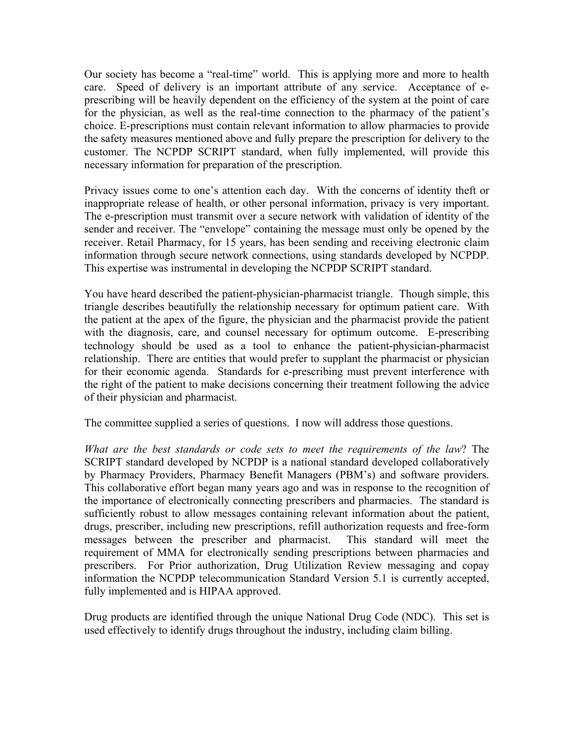Our society has become a "real-time" world. This is applying more and more to health care. Speed of delivery is an important attribute of any service. Acceptance of eprescribing will be heavily dependent on the efficiency of the system at the point of care for the physician, as well as the real-time connection to the pharmacy of the patient's choice. E-prescriptions must contain relevant information to allow pharmacies to provide the safety measures mentioned above and fully prepare the prescription for delivery to the customer. The NCPDP SCRIPT standard, when fully implemented, will provide this necessary information for preparation of the prescription.

Privacy issues come to one's attention each day. With the concerns of identity theft or inappropriate release of health, or other personal information, privacy is very important. The e-prescription must transmit over a secure network with validation of identity of the sender and receiver. The "envelope" containing the message must only be opened by the receiver. Retail Pharmacy, for 15 years, has been sending and receiving electronic claim information through secure network connections, using standards developed by NCPDP. This expertise was instrumental in developing the NCPDP SCRIPT standard.

You have heard described the patient-physician-pharmacist triangle. Though simple, this triangle describes beautifully the relationship necessary for optimum patient care. With the patient at the apex of the figure, the physician and the pharmacist provide the patient with the diagnosis, care, and counsel necessary for optimum outcome. E-prescribing technology should be used as a tool to enhance the patient-physician-pharmacist relationship. There are entities that would prefer to supplant the pharmacist or physician for their economic agenda. Standards for e-prescribing must prevent interference with the right of the patient to make decisions concerning their treatment following the advice of their physician and pharmacist.

The committee supplied a series of questions. I now will address those questions.

*What are the best standards or code sets to meet the requirements of the law*? The SCRIPT standard developed by NCPDP is a national standard developed collaboratively by Pharmacy Providers, Pharmacy Benefit Managers (PBM's) and software providers. This collaborative effort began many years ago and was in response to the recognition of the importance of electronically connecting prescribers and pharmacies. The standard is sufficiently robust to allow messages containing relevant information about the patient, drugs, prescriber, including new prescriptions, refill authorization requests and free-form messages between the prescriber and pharmacist. This standard will meet the requirement of MMA for electronically sending prescriptions between pharmacies and prescribers. For Prior authorization, Drug Utilization Review messaging and copay information the NCPDP telecommunication Standard Version 5.1 is currently accepted, fully implemented and is HIPAA approved.

Drug products are identified through the unique National Drug Code (NDC). This set is used effectively to identify drugs throughout the industry, including claim billing.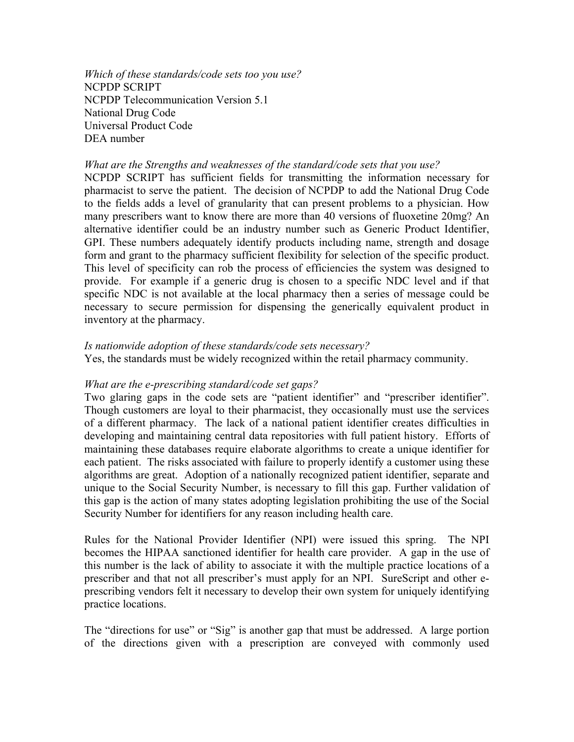*Which of these standards/code sets too you use?*  NCPDP SCRIPT NCPDP Telecommunication Version 5.1 National Drug Code Universal Product Code DEA number

#### *What are the Strengths and weaknesses of the standard/code sets that you use?*

NCPDP SCRIPT has sufficient fields for transmitting the information necessary for pharmacist to serve the patient. The decision of NCPDP to add the National Drug Code to the fields adds a level of granularity that can present problems to a physician. How many prescribers want to know there are more than 40 versions of fluoxetine 20mg? An alternative identifier could be an industry number such as Generic Product Identifier, GPI. These numbers adequately identify products including name, strength and dosage form and grant to the pharmacy sufficient flexibility for selection of the specific product. This level of specificity can rob the process of efficiencies the system was designed to provide. For example if a generic drug is chosen to a specific NDC level and if that specific NDC is not available at the local pharmacy then a series of message could be necessary to secure permission for dispensing the generically equivalent product in inventory at the pharmacy.

#### *Is nationwide adoption of these standards/code sets necessary?*

Yes, the standards must be widely recognized within the retail pharmacy community.

## *What are the e-prescribing standard/code set gaps?*

Two glaring gaps in the code sets are "patient identifier" and "prescriber identifier". Though customers are loyal to their pharmacist, they occasionally must use the services of a different pharmacy. The lack of a national patient identifier creates difficulties in developing and maintaining central data repositories with full patient history. Efforts of maintaining these databases require elaborate algorithms to create a unique identifier for each patient. The risks associated with failure to properly identify a customer using these algorithms are great. Adoption of a nationally recognized patient identifier, separate and unique to the Social Security Number, is necessary to fill this gap. Further validation of this gap is the action of many states adopting legislation prohibiting the use of the Social Security Number for identifiers for any reason including health care.

Rules for the National Provider Identifier (NPI) were issued this spring. The NPI becomes the HIPAA sanctioned identifier for health care provider. A gap in the use of this number is the lack of ability to associate it with the multiple practice locations of a prescriber and that not all prescriber's must apply for an NPI. SureScript and other eprescribing vendors felt it necessary to develop their own system for uniquely identifying practice locations.

The "directions for use" or "Sig" is another gap that must be addressed. A large portion of the directions given with a prescription are conveyed with commonly used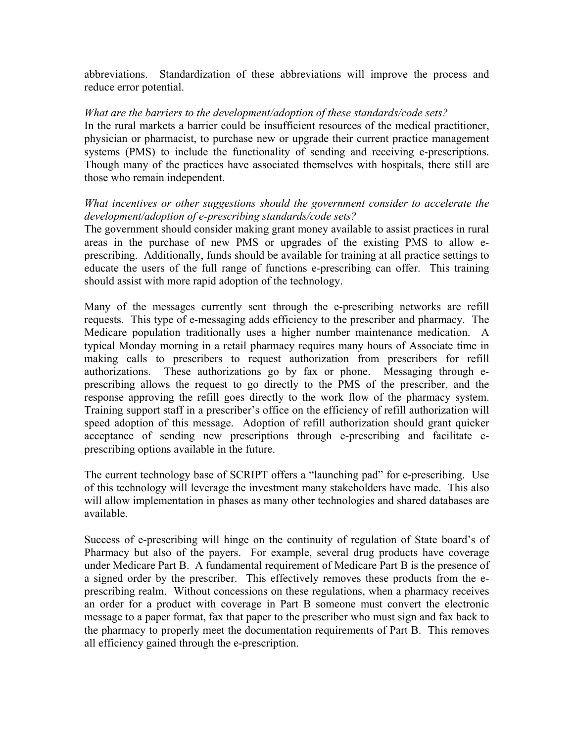abbreviations. Standardization of these abbreviations will improve the process and reduce error potential.

## *What are the barriers to the development/adoption of these standards/code sets?*

In the rural markets a barrier could be insufficient resources of the medical practitioner, physician or pharmacist, to purchase new or upgrade their current practice management systems (PMS) to include the functionality of sending and receiving e-prescriptions. Though many of the practices have associated themselves with hospitals, there still are those who remain independent.

# *What incentives or other suggestions should the government consider to accelerate the development/adoption of e-prescribing standards/code sets?*

The government should consider making grant money available to assist practices in rural areas in the purchase of new PMS or upgrades of the existing PMS to allow eprescribing. Additionally, funds should be available for training at all practice settings to educate the users of the full range of functions e-prescribing can offer. This training should assist with more rapid adoption of the technology.

Many of the messages currently sent through the e-prescribing networks are refill requests. This type of e-messaging adds efficiency to the prescriber and pharmacy. The Medicare population traditionally uses a higher number maintenance medication. A typical Monday morning in a retail pharmacy requires many hours of Associate time in making calls to prescribers to request authorization from prescribers for refill authorizations. These authorizations go by fax or phone. Messaging through eprescribing allows the request to go directly to the PMS of the prescriber, and the response approving the refill goes directly to the work flow of the pharmacy system. Training support staff in a prescriber's office on the efficiency of refill authorization will speed adoption of this message. Adoption of refill authorization should grant quicker acceptance of sending new prescriptions through e-prescribing and facilitate eprescribing options available in the future.

The current technology base of SCRIPT offers a "launching pad" for e-prescribing. Use of this technology will leverage the investment many stakeholders have made. This also will allow implementation in phases as many other technologies and shared databases are available.

Success of e-prescribing will hinge on the continuity of regulation of State board's of Pharmacy but also of the payers. For example, several drug products have coverage under Medicare Part B. A fundamental requirement of Medicare Part B is the presence of a signed order by the prescriber. This effectively removes these products from the eprescribing realm. Without concessions on these regulations, when a pharmacy receives an order for a product with coverage in Part B someone must convert the electronic message to a paper format, fax that paper to the prescriber who must sign and fax back to the pharmacy to properly meet the documentation requirements of Part B. This removes all efficiency gained through the e-prescription.